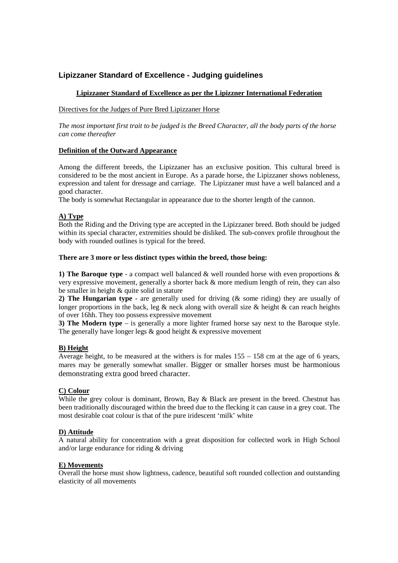# **Lipizzaner Standard of Excellence - Judging guidelines**

## **Lipizzaner Standard of Excellence as per the Lipizzner International Federation**

## Directives for the Judges of Pure Bred Lipizzaner Horse

*The most important first trait to be judged is the Breed Character, all the body parts of the horse can come thereafter* 

## **Definition of the Outward Appearance**

Among the different breeds, the Lipizzaner has an exclusive position. This cultural breed is considered to be the most ancient in Europe. As a parade horse, the Lipizzaner shows nobleness, expression and talent for dressage and carriage. The Lipizzaner must have a well balanced and a good character.

The body is somewhat Rectangular in appearance due to the shorter length of the cannon.

## **A) Type**

Both the Riding and the Driving type are accepted in the Lipizzaner breed. Both should be judged within its special character, extremities should be disliked. The sub-convex profile throughout the body with rounded outlines is typical for the breed.

## **There are 3 more or less distinct types within the breed, those being:**

**1) The Baroque type** - a compact well balanced & well rounded horse with even proportions & very expressive movement, generally a shorter back & more medium length of rein, they can also be smaller in height & quite solid in stature

**2) The Hungarian type** - are generally used for driving (& some riding) they are usually of longer proportions in the back, leg  $\&$  neck along with overall size  $\&$  height  $\&$  can reach heights of over 16hh. They too possess expressive movement

**3) The Modern type** – is generally a more lighter framed horse say next to the Baroque style. The generally have longer legs & good height & expressive movement

## **B) Height**

Average height, to be measured at the withers is for males  $155 - 158$  cm at the age of 6 years, mares may be generally somewhat smaller. Bigger or smaller horses must be harmonious demonstrating extra good breed character.

## **C) Colour**

While the grey colour is dominant, Brown, Bay & Black are present in the breed. Chestnut has been traditionally discouraged within the breed due to the flecking it can cause in a grey coat. The most desirable coat colour is that of the pure iridescent 'milk' white

## **D) Attitude**

A natural ability for concentration with a great disposition for collected work in High School and/or large endurance for riding & driving

## **E) Movements**

Overall the horse must show lightness, cadence, beautiful soft rounded collection and outstanding elasticity of all movements